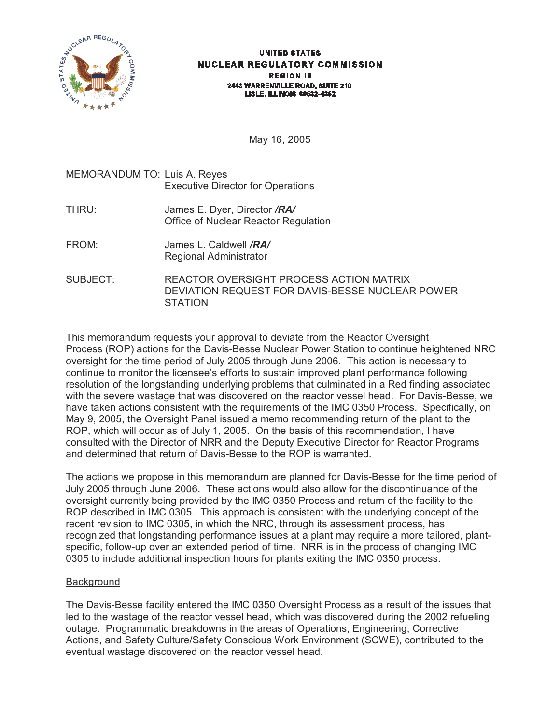

#### **UNITED STATES NUCLEAR REGULATORY COMMISSION REGION III** 2443 WARRENVILLE ROAD, SUITE 210 **LISLE, ILLINOIS 60532-4352**

May 16, 2005

# MEMORANDUM TO: Luis A. Reyes Executive Director for Operations THRU: James E. Dyer, Director */RA/* Office of Nuclear Reactor Regulation FROM: James L. Caldwell */RA/* Regional Administrator SUBJECT: REACTOR OVERSIGHT PROCESS ACTION MATRIX DEVIATION REQUEST FOR DAVIS-BESSE NUCLEAR POWER

**STATION** 

This memorandum requests your approval to deviate from the Reactor Oversight Process (ROP) actions for the Davis-Besse Nuclear Power Station to continue heightened NRC oversight for the time period of July 2005 through June 2006. This action is necessary to continue to monitor the licensee's efforts to sustain improved plant performance following resolution of the longstanding underlying problems that culminated in a Red finding associated with the severe wastage that was discovered on the reactor vessel head. For Davis-Besse, we have taken actions consistent with the requirements of the IMC 0350 Process. Specifically, on May 9, 2005, the Oversight Panel issued a memo recommending return of the plant to the ROP, which will occur as of July 1, 2005. On the basis of this recommendation, I have consulted with the Director of NRR and the Deputy Executive Director for Reactor Programs and determined that return of Davis-Besse to the ROP is warranted.

The actions we propose in this memorandum are planned for Davis-Besse for the time period of July 2005 through June 2006. These actions would also allow for the discontinuance of the oversight currently being provided by the IMC 0350 Process and return of the facility to the ROP described in IMC 0305. This approach is consistent with the underlying concept of the recent revision to IMC 0305, in which the NRC, through its assessment process, has recognized that longstanding performance issues at a plant may require a more tailored, plantspecific, follow-up over an extended period of time. NRR is in the process of changing IMC 0305 to include additional inspection hours for plants exiting the IMC 0350 process.

# Background

The Davis-Besse facility entered the IMC 0350 Oversight Process as a result of the issues that led to the wastage of the reactor vessel head, which was discovered during the 2002 refueling outage. Programmatic breakdowns in the areas of Operations, Engineering, Corrective Actions, and Safety Culture/Safety Conscious Work Environment (SCWE), contributed to the eventual wastage discovered on the reactor vessel head.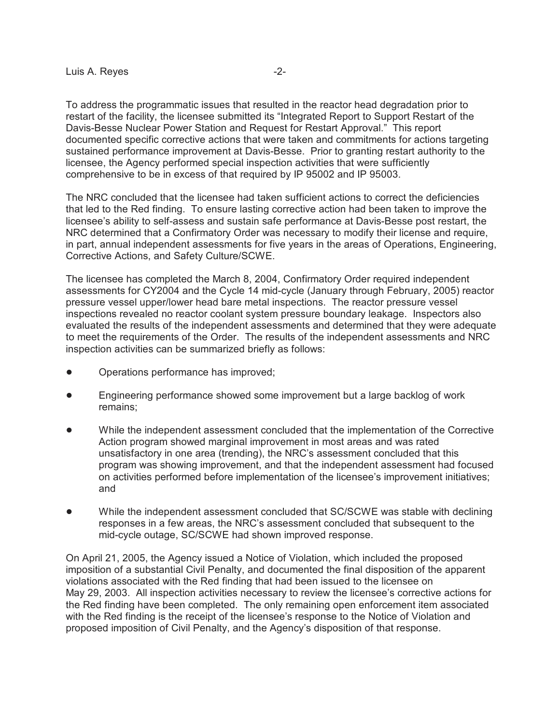To address the programmatic issues that resulted in the reactor head degradation prior to restart of the facility, the licensee submitted its "Integrated Report to Support Restart of the Davis-Besse Nuclear Power Station and Request for Restart Approval." This report documented specific corrective actions that were taken and commitments for actions targeting sustained performance improvement at Davis-Besse. Prior to granting restart authority to the licensee, the Agency performed special inspection activities that were sufficiently comprehensive to be in excess of that required by IP 95002 and IP 95003.

The NRC concluded that the licensee had taken sufficient actions to correct the deficiencies that led to the Red finding. To ensure lasting corrective action had been taken to improve the licensee's ability to self-assess and sustain safe performance at Davis-Besse post restart, the NRC determined that a Confirmatory Order was necessary to modify their license and require, in part, annual independent assessments for five years in the areas of Operations, Engineering, Corrective Actions, and Safety Culture/SCWE.

The licensee has completed the March 8, 2004, Confirmatory Order required independent assessments for CY2004 and the Cycle 14 mid-cycle (January through February, 2005) reactor pressure vessel upper/lower head bare metal inspections. The reactor pressure vessel inspections revealed no reactor coolant system pressure boundary leakage. Inspectors also evaluated the results of the independent assessments and determined that they were adequate to meet the requirements of the Order. The results of the independent assessments and NRC inspection activities can be summarized briefly as follows:

- Operations performance has improved;
- ! Engineering performance showed some improvement but a large backlog of work remains;
- While the independent assessment concluded that the implementation of the Corrective Action program showed marginal improvement in most areas and was rated unsatisfactory in one area (trending), the NRC's assessment concluded that this program was showing improvement, and that the independent assessment had focused on activities performed before implementation of the licensee's improvement initiatives; and
- While the independent assessment concluded that SC/SCWE was stable with declining responses in a few areas, the NRC's assessment concluded that subsequent to the mid-cycle outage, SC/SCWE had shown improved response.

On April 21, 2005, the Agency issued a Notice of Violation, which included the proposed imposition of a substantial Civil Penalty, and documented the final disposition of the apparent violations associated with the Red finding that had been issued to the licensee on May 29, 2003. All inspection activities necessary to review the licensee's corrective actions for the Red finding have been completed. The only remaining open enforcement item associated with the Red finding is the receipt of the licensee's response to the Notice of Violation and proposed imposition of Civil Penalty, and the Agency's disposition of that response.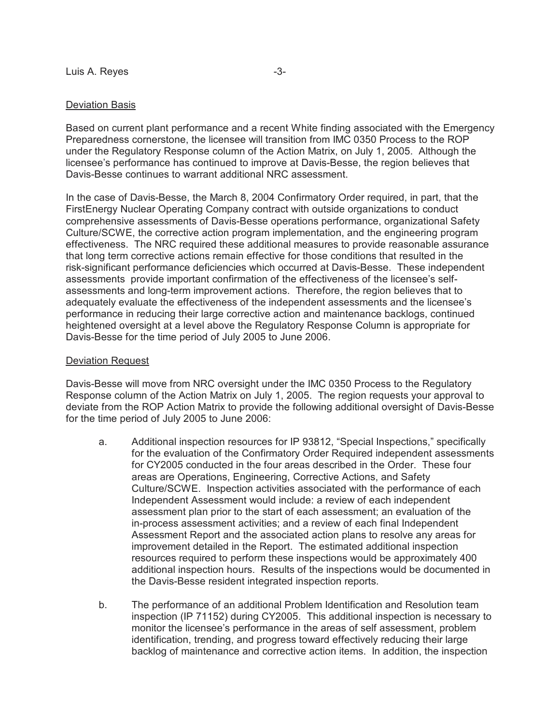### Deviation Basis

Based on current plant performance and a recent White finding associated with the Emergency Preparedness cornerstone, the licensee will transition from IMC 0350 Process to the ROP under the Regulatory Response column of the Action Matrix, on July 1, 2005. Although the licensee's performance has continued to improve at Davis-Besse, the region believes that Davis-Besse continues to warrant additional NRC assessment.

In the case of Davis-Besse, the March 8, 2004 Confirmatory Order required, in part, that the FirstEnergy Nuclear Operating Company contract with outside organizations to conduct comprehensive assessments of Davis-Besse operations performance, organizational Safety Culture/SCWE, the corrective action program implementation, and the engineering program effectiveness. The NRC required these additional measures to provide reasonable assurance that long term corrective actions remain effective for those conditions that resulted in the risk-significant performance deficiencies which occurred at Davis-Besse. These independent assessments provide important confirmation of the effectiveness of the licensee's selfassessments and long-term improvement actions. Therefore, the region believes that to adequately evaluate the effectiveness of the independent assessments and the licensee's performance in reducing their large corrective action and maintenance backlogs, continued heightened oversight at a level above the Regulatory Response Column is appropriate for Davis-Besse for the time period of July 2005 to June 2006.

## Deviation Request

Davis-Besse will move from NRC oversight under the IMC 0350 Process to the Regulatory Response column of the Action Matrix on July 1, 2005. The region requests your approval to deviate from the ROP Action Matrix to provide the following additional oversight of Davis-Besse for the time period of July 2005 to June 2006:

- a. Additional inspection resources for IP 93812, "Special Inspections," specifically for the evaluation of the Confirmatory Order Required independent assessments for CY2005 conducted in the four areas described in the Order. These four areas are Operations, Engineering, Corrective Actions, and Safety Culture/SCWE. Inspection activities associated with the performance of each Independent Assessment would include: a review of each independent assessment plan prior to the start of each assessment; an evaluation of the in-process assessment activities; and a review of each final Independent Assessment Report and the associated action plans to resolve any areas for improvement detailed in the Report. The estimated additional inspection resources required to perform these inspections would be approximately 400 additional inspection hours. Results of the inspections would be documented in the Davis-Besse resident integrated inspection reports.
- b. The performance of an additional Problem Identification and Resolution team inspection (IP 71152) during CY2005. This additional inspection is necessary to monitor the licensee's performance in the areas of self assessment, problem identification, trending, and progress toward effectively reducing their large backlog of maintenance and corrective action items. In addition, the inspection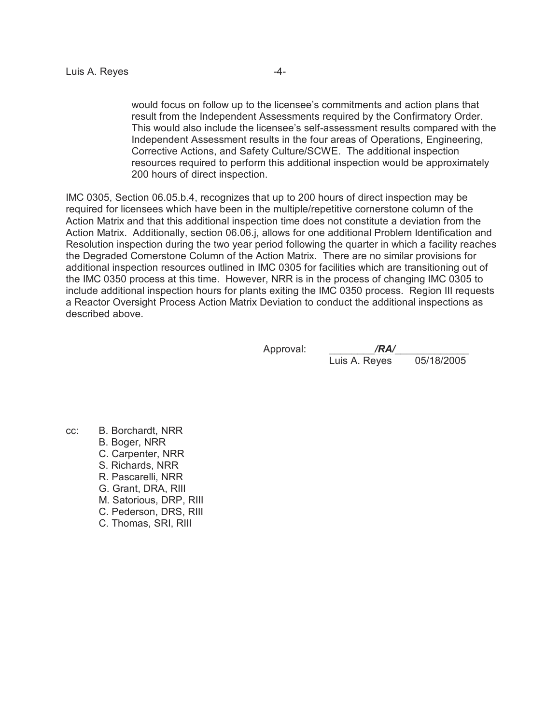would focus on follow up to the licensee's commitments and action plans that result from the Independent Assessments required by the Confirmatory Order. This would also include the licensee's self-assessment results compared with the Independent Assessment results in the four areas of Operations, Engineering, Corrective Actions, and Safety Culture/SCWE. The additional inspection resources required to perform this additional inspection would be approximately 200 hours of direct inspection.

IMC 0305, Section 06.05.b.4, recognizes that up to 200 hours of direct inspection may be required for licensees which have been in the multiple/repetitive cornerstone column of the Action Matrix and that this additional inspection time does not constitute a deviation from the Action Matrix. Additionally, section 06.06.j, allows for one additional Problem Identification and Resolution inspection during the two year period following the quarter in which a facility reaches the Degraded Cornerstone Column of the Action Matrix. There are no similar provisions for additional inspection resources outlined in IMC 0305 for facilities which are transitioning out of the IMC 0350 process at this time. However, NRR is in the process of changing IMC 0305 to include additional inspection hours for plants exiting the IMC 0350 process. Region III requests a Reactor Oversight Process Action Matrix Deviation to conduct the additional inspections as described above.

Approval: /**RA/** Luis A. Reyes 05/18/2005

cc: B. Borchardt, NRR B. Boger, NRR C. Carpenter, NRR S. Richards, NRR R. Pascarelli, NRR G. Grant, DRA, RIII M. Satorious, DRP, RIII C. Pederson, DRS, RIII C. Thomas, SRI, RIII